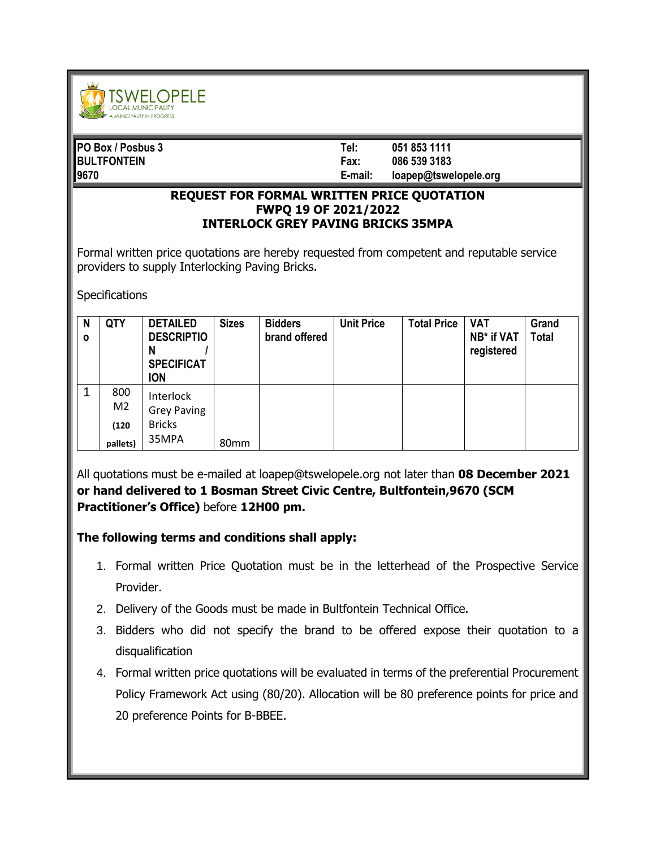

| <b>PO Box / Posbus 3</b> | Tel:    | 051 853 1111          |
|--------------------------|---------|-----------------------|
| <b>BULTFONTEIN</b>       | Fax:    | 086 539 3183          |
| 19670                    | E-mail: | loapep@tswelopele.org |

## **REQUEST FOR FORMAL WRITTEN PRICE QUOTATION FWPQ 19 OF 2021/2022 INTERLOCK GREY PAVING BRICKS 35MPA**

Formal written price quotations are hereby requested from competent and reputable service providers to supply Interlocking Paving Bricks.

**Specifications** 

| N<br>$\mathbf{o}$ | <b>QTY</b>            | <b>DETAILED</b><br><b>DESCRIPTIO</b><br>N<br><b>SPECIFICAT</b><br><b>ION</b> | <b>Sizes</b>     | <b>Bidders</b><br>brand offered | <b>Unit Price</b> | <b>Total Price</b> | <b>VAT</b><br>NB* if VAT<br>registered | Grand<br><b>Total</b> |
|-------------------|-----------------------|------------------------------------------------------------------------------|------------------|---------------------------------|-------------------|--------------------|----------------------------------------|-----------------------|
| 1                 | 800<br>M <sub>2</sub> | Interlock<br><b>Grey Paving</b>                                              |                  |                                 |                   |                    |                                        |                       |
|                   | (120)<br>pallets)     | <b>Bricks</b><br>35MPA                                                       | 80 <sub>mm</sub> |                                 |                   |                    |                                        |                       |

All quotations must be e-mailed at loapep@tswelopele.org not later than **08 December 2021 or hand delivered to 1 Bosman Street Civic Centre, Bultfontein,9670 (SCM Practitioner's Office)** before **12H00 pm.**

## **The following terms and conditions shall apply:**

- 1. Formal written Price Quotation must be in the letterhead of the Prospective Service Provider.
- 2. Delivery of the Goods must be made in Bultfontein Technical Office.
- 3. Bidders who did not specify the brand to be offered expose their quotation to a disqualification
- 4. Formal written price quotations will be evaluated in terms of the preferential Procurement Policy Framework Act using (80/20). Allocation will be 80 preference points for price and 20 preference Points for B-BBEE.